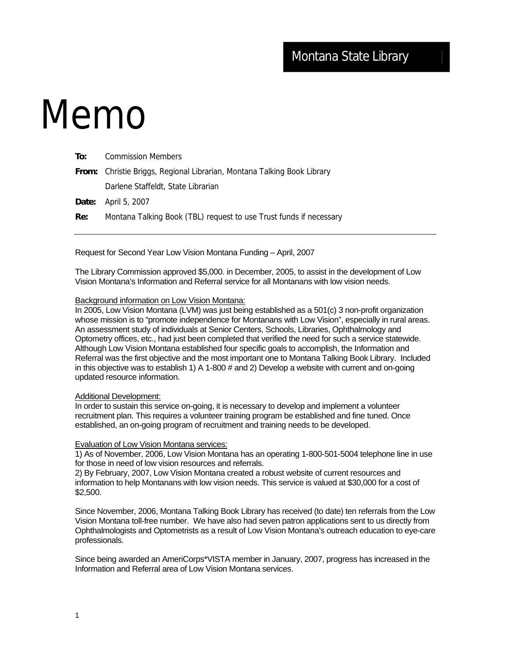# Memo

| To: | <b>Commission Members</b>                                               |
|-----|-------------------------------------------------------------------------|
|     | From: Christie Briggs, Regional Librarian, Montana Talking Book Library |
|     | Darlene Staffeldt, State Librarian                                      |
|     | <b>Date:</b> April 5, 2007                                              |
| Re: | Montana Talking Book (TBL) request to use Trust funds if necessary      |
|     |                                                                         |

Request for Second Year Low Vision Montana Funding – April, 2007

The Library Commission approved \$5,000. in December, 2005, to assist in the development of Low Vision Montana's Information and Referral service for all Montanans with low vision needs.

## Background information on Low Vision Montana:

In 2005, Low Vision Montana (LVM) was just being established as a 501(c) 3 non-profit organization whose mission is to "promote independence for Montanans with Low Vision", especially in rural areas. An assessment study of individuals at Senior Centers, Schools, Libraries, Ophthalmology and Optometry offices, etc., had just been completed that verified the need for such a service statewide. Although Low Vision Montana established four specific goals to accomplish, the Information and Referral was the first objective and the most important one to Montana Talking Book Library. Included in this objective was to establish 1) A 1-800 # and 2) Develop a website with current and on-going updated resource information.

#### Additional Development:

In order to sustain this service on-going, it is necessary to develop and implement a volunteer recruitment plan. This requires a volunteer training program be established and fine tuned. Once established, an on-going program of recruitment and training needs to be developed.

#### Evaluation of Low Vision Montana services:

1) As of November, 2006, Low Vision Montana has an operating 1-800-501-5004 telephone line in use for those in need of low vision resources and referrals.

2) By February, 2007, Low Vision Montana created a robust website of current resources and information to help Montanans with low vision needs. This service is valued at \$30,000 for a cost of \$2,500.

Since November, 2006, Montana Talking Book Library has received (to date) ten referrals from the Low Vision Montana toll-free number. We have also had seven patron applications sent to us directly from Ophthalmologists and Optometrists as a result of Low Vision Montana's outreach education to eye-care professionals.

Since being awarded an AmeriCorps\*VISTA member in January, 2007, progress has increased in the Information and Referral area of Low Vision Montana services.